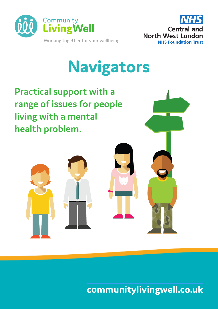



# **Navigators**

**Practical support with a range of issues for people living with a mental health problem.** 



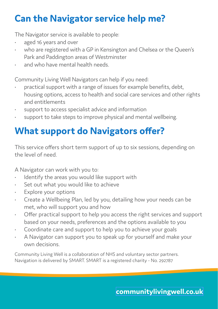## **Can the Navigator service help me?**

The Navigator service is available to people:

- aged 16 years and over
- who are registered with a GP in Kensington and Chelsea or the Queen's Park and Paddington areas of Westminster
- and who have mental health needs.

Community Living Well Navigators can help if you need:

- practical support with a range of issues for example benefits, debt, housing options, access to health and social care services and other rights and entitlements
- support to access specialist advice and information
- support to take steps to improve physical and mental wellbeing.

## **What support do Navigators offer?**

This service offers short term support of up to six sessions, depending on the level of need.

A Navigator can work with you to:

- Identify the areas you would like support with
- Set out what you would like to achieve
- Explore your options
- Create a Wellbeing Plan, led by you, detailing how your needs can be met, who will support you and how
- Offer practical support to help you access the right services and support based on your needs, preferences and the options available to you
- Coordinate care and support to help you to achieve your goals
- A Navigator can support you to speak up for yourself and make your own decisions.

Community Living Well is a collaboration of NHS and voluntary sector partners. Navigation is delivered by SMART. SMART is a registered charity - No. 292787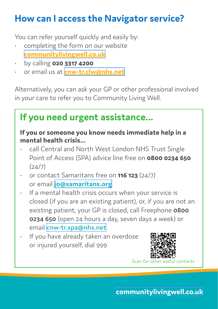### **How can I access the Navigator service?**

You can refer yourself quickly and easily by:

- completing the form on our website **[communitylivingwell.co.uk](https://gateway.mayden.co.uk/referral-v2/d65351bb-6848-4b60-82c3-c2a73683d5fa)**
- by calling **020 3317 4200**
- or email us at **[cnw-tr.clw@nhs.net](mailto:cnw-tr.clw%40nhs.net?subject=)**

Alternatively, you can ask your GP or other professional involved in your care to refer you to Community Living Well.

#### **If you need urgent assistance...**

#### **If you or someone you know needs immediate help in a mental health crisis...**

- call Central and North West London NHS Trust Single Point of Access (SPA) advice line free on **0800 0234 650**   $(24/7)$
- or contact Samaritans free on **116 123** (24/7) or email **[jo@samaritans.org](mailto:jo%40samaritans.org?subject=)**
- If a mental health crisis occurs when your service is closed (if you are an existing patient), or, if you are not an existing patient, your GP is closed, call Freephone **0800 0234 650** (open 24 hours a day, seven days a week) or email **[cnw-tr.spa@nhs.net](mailto:cnw-tr.spa%40nhs.net?subject=)**
- If you have already taken an overdose or injured yourself, dial 999



Scan for oth